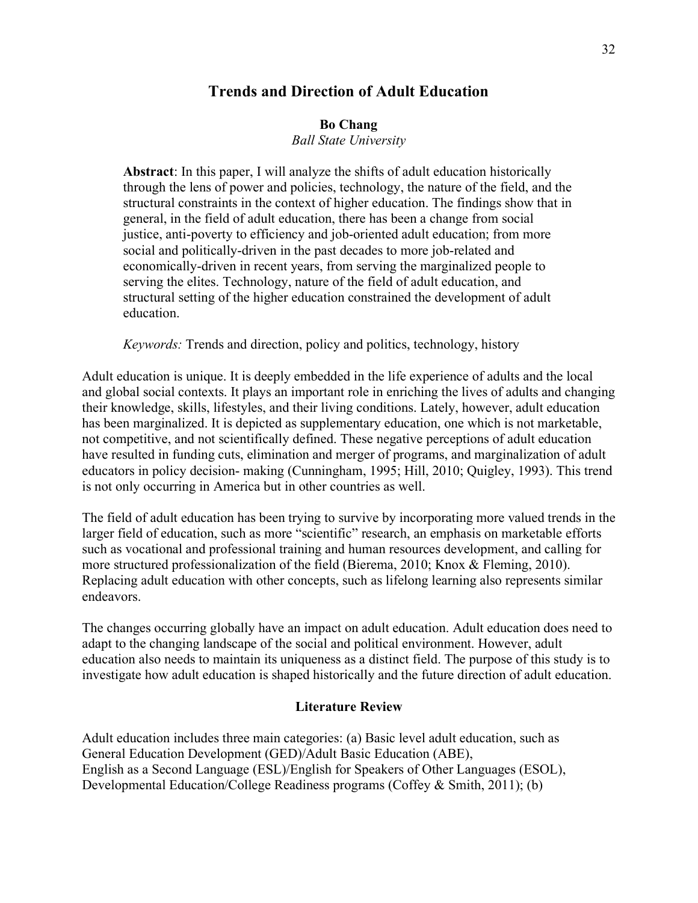# **Trends and Direction of Adult Education**

# **Bo Chang**

*Ball State University*

**Abstract**: In this paper, I will analyze the shifts of adult education historically through the lens of power and policies, technology, the nature of the field, and the structural constraints in the context of higher education. The findings show that in general, in the field of adult education, there has been a change from social justice, anti-poverty to efficiency and job-oriented adult education; from more social and politically-driven in the past decades to more job-related and economically-driven in recent years, from serving the marginalized people to serving the elites. Technology, nature of the field of adult education, and structural setting of the higher education constrained the development of adult education.

*Keywords:* Trends and direction, policy and politics, technology, history

Adult education is unique. It is deeply embedded in the life experience of adults and the local and global social contexts. It plays an important role in enriching the lives of adults and changing their knowledge, skills, lifestyles, and their living conditions. Lately, however, adult education has been marginalized. It is depicted as supplementary education, one which is not marketable, not competitive, and not scientifically defined. These negative perceptions of adult education have resulted in funding cuts, elimination and merger of programs, and marginalization of adult educators in policy decision- making (Cunningham, 1995; Hill, 2010; Quigley, 1993). This trend is not only occurring in America but in other countries as well.

The field of adult education has been trying to survive by incorporating more valued trends in the larger field of education, such as more "scientific" research, an emphasis on marketable efforts such as vocational and professional training and human resources development, and calling for more structured professionalization of the field (Bierema, 2010; Knox & Fleming, 2010). Replacing adult education with other concepts, such as lifelong learning also represents similar endeavors.

The changes occurring globally have an impact on adult education. Adult education does need to adapt to the changing landscape of the social and political environment. However, adult education also needs to maintain its uniqueness as a distinct field. The purpose of this study is to investigate how adult education is shaped historically and the future direction of adult education.

#### **Literature Review**

Adult education includes three main categories: (a) Basic level adult education, such as General Education Development (GED)/Adult Basic Education (ABE), English as a Second Language (ESL)/English for Speakers of Other Languages (ESOL), Developmental Education/College Readiness programs (Coffey & Smith, 2011); (b)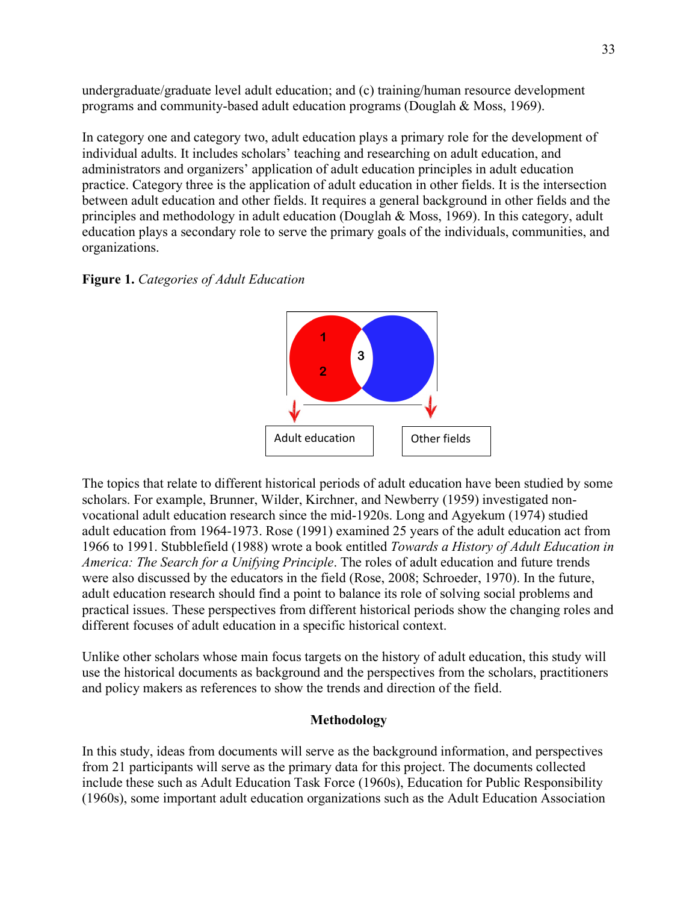undergraduate/graduate level adult education; and (c) training/human resource development programs and community-based adult education programs (Douglah & Moss, 1969).

In category one and category two, adult education plays a primary role for the development of individual adults. It includes scholars' teaching and researching on adult education, and administrators and organizers' application of adult education principles in adult education practice. Category three is the application of adult education in other fields. It is the intersection between adult education and other fields. It requires a general background in other fields and the principles and methodology in adult education (Douglah & Moss, 1969). In this category, adult education plays a secondary role to serve the primary goals of the individuals, communities, and organizations.

## **Figure 1.** *Categories of Adult Education*



The topics that relate to different historical periods of adult education have been studied by some scholars. For example, Brunner, Wilder, Kirchner, and Newberry (1959) investigated nonvocational adult education research since the mid-1920s. Long and Agyekum (1974) studied adult education from 1964-1973. Rose (1991) examined 25 years of the adult education act from 1966 to 1991. Stubblefield (1988) wrote a book entitled *Towards a History of Adult Education in America: The Search for a Unifying Principle*. The roles of adult education and future trends were also discussed by the educators in the field (Rose, 2008; Schroeder, 1970). In the future, adult education research should find a point to balance its role of solving social problems and practical issues. These perspectives from different historical periods show the changing roles and different focuses of adult education in a specific historical context.

Unlike other scholars whose main focus targets on the history of adult education, this study will use the historical documents as background and the perspectives from the scholars, practitioners and policy makers as references to show the trends and direction of the field.

## **Methodology**

In this study, ideas from documents will serve as the background information, and perspectives from 21 participants will serve as the primary data for this project. The documents collected include these such as Adult Education Task Force (1960s), Education for Public Responsibility (1960s), some important adult education organizations such as the Adult Education Association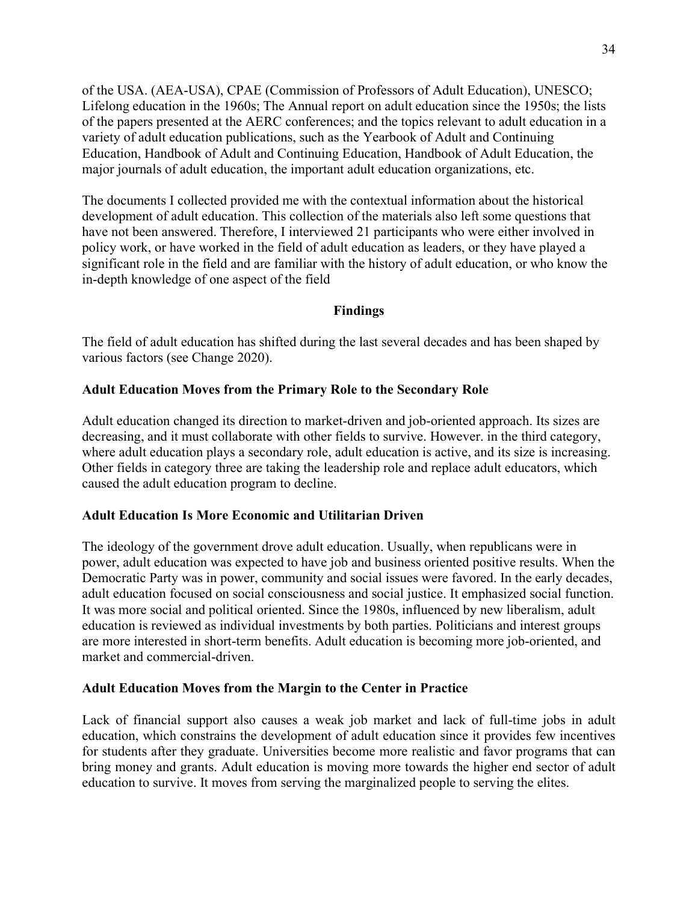of the USA. (AEA-USA), CPAE (Commission of Professors of Adult Education), UNESCO; Lifelong education in the 1960s; The Annual report on adult education since the 1950s; the lists of the papers presented at the AERC conferences; and the topics relevant to adult education in a variety of adult education publications, such as the Yearbook of Adult and Continuing Education, Handbook of Adult and Continuing Education, Handbook of Adult Education, the major journals of adult education, the important adult education organizations, etc.

The documents I collected provided me with the contextual information about the historical development of adult education. This collection of the materials also left some questions that have not been answered. Therefore, I interviewed 21 participants who were either involved in policy work, or have worked in the field of adult education as leaders, or they have played a significant role in the field and are familiar with the history of adult education, or who know the in-depth knowledge of one aspect of the field

#### **Findings**

The field of adult education has shifted during the last several decades and has been shaped by various factors (see Change 2020).

#### **Adult Education Moves from the Primary Role to the Secondary Role**

Adult education changed its direction to market-driven and job-oriented approach. Its sizes are decreasing, and it must collaborate with other fields to survive. However. in the third category, where adult education plays a secondary role, adult education is active, and its size is increasing. Other fields in category three are taking the leadership role and replace adult educators, which caused the adult education program to decline.

#### **Adult Education Is More Economic and Utilitarian Driven**

The ideology of the government drove adult education. Usually, when republicans were in power, adult education was expected to have job and business oriented positive results. When the Democratic Party was in power, community and social issues were favored. In the early decades, adult education focused on social consciousness and social justice. It emphasized social function. It was more social and political oriented. Since the 1980s, influenced by new liberalism, adult education is reviewed as individual investments by both parties. Politicians and interest groups are more interested in short-term benefits. Adult education is becoming more job-oriented, and market and commercial-driven.

#### **Adult Education Moves from the Margin to the Center in Practice**

Lack of financial support also causes a weak job market and lack of full-time jobs in adult education, which constrains the development of adult education since it provides few incentives for students after they graduate. Universities become more realistic and favor programs that can bring money and grants. Adult education is moving more towards the higher end sector of adult education to survive. It moves from serving the marginalized people to serving the elites.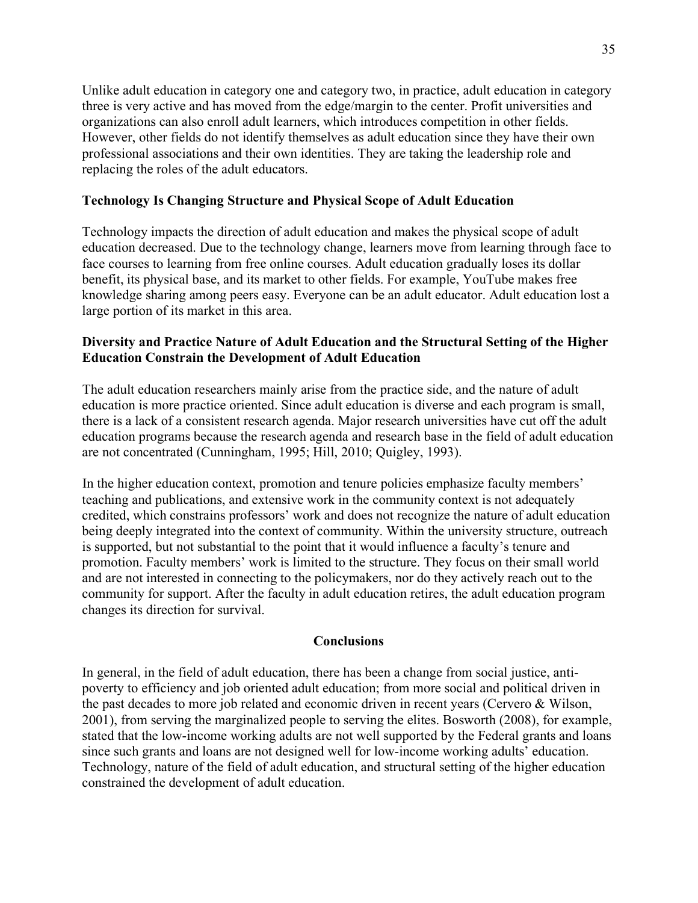Unlike adult education in category one and category two, in practice, adult education in category three is very active and has moved from the edge/margin to the center. Profit universities and organizations can also enroll adult learners, which introduces competition in other fields. However, other fields do not identify themselves as adult education since they have their own professional associations and their own identities. They are taking the leadership role and replacing the roles of the adult educators.

## **Technology Is Changing Structure and Physical Scope of Adult Education**

Technology impacts the direction of adult education and makes the physical scope of adult education decreased. Due to the technology change, learners move from learning through face to face courses to learning from free online courses. Adult education gradually loses its dollar benefit, its physical base, and its market to other fields. For example, YouTube makes free knowledge sharing among peers easy. Everyone can be an adult educator. Adult education lost a large portion of its market in this area.

## **Diversity and Practice Nature of Adult Education and the Structural Setting of the Higher Education Constrain the Development of Adult Education**

The adult education researchers mainly arise from the practice side, and the nature of adult education is more practice oriented. Since adult education is diverse and each program is small, there is a lack of a consistent research agenda. Major research universities have cut off the adult education programs because the research agenda and research base in the field of adult education are not concentrated (Cunningham, 1995; Hill, 2010; Quigley, 1993).

In the higher education context, promotion and tenure policies emphasize faculty members' teaching and publications, and extensive work in the community context is not adequately credited, which constrains professors' work and does not recognize the nature of adult education being deeply integrated into the context of community. Within the university structure, outreach is supported, but not substantial to the point that it would influence a faculty's tenure and promotion. Faculty members' work is limited to the structure. They focus on their small world and are not interested in connecting to the policymakers, nor do they actively reach out to the community for support. After the faculty in adult education retires, the adult education program changes its direction for survival.

#### **Conclusions**

In general, in the field of adult education, there has been a change from social justice, antipoverty to efficiency and job oriented adult education; from more social and political driven in the past decades to more job related and economic driven in recent years (Cervero & Wilson, 2001), from serving the marginalized people to serving the elites. Bosworth (2008), for example, stated that the low-income working adults are not well supported by the Federal grants and loans since such grants and loans are not designed well for low-income working adults' education. Technology, nature of the field of adult education, and structural setting of the higher education constrained the development of adult education.